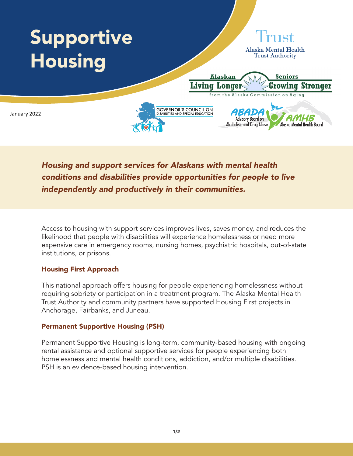

*Housing and support services for Alaskans with mental health conditions and disabilities provide opportunities for people to live independently and productively in their communities.*

Access to housing with support services improves lives, saves money, and reduces the likelihood that people with disabilities will experience homelessness or need more expensive care in emergency rooms, nursing homes, psychiatric hospitals, out-of-state institutions, or prisons.

## Housing First Approach

This national approach offers housing for people experiencing homelessness without requiring sobriety or participation in a treatment program. The Alaska Mental Health Trust Authority and community partners have supported Housing First projects in Anchorage, Fairbanks, and Juneau.

## Permanent Supportive Housing (PSH)

Permanent Supportive Housing is long-term, community-based housing with ongoing rental assistance and optional supportive services for people experiencing both homelessness and mental health conditions, addiction, and/or multiple disabilities. PSH is an evidence-based housing intervention.